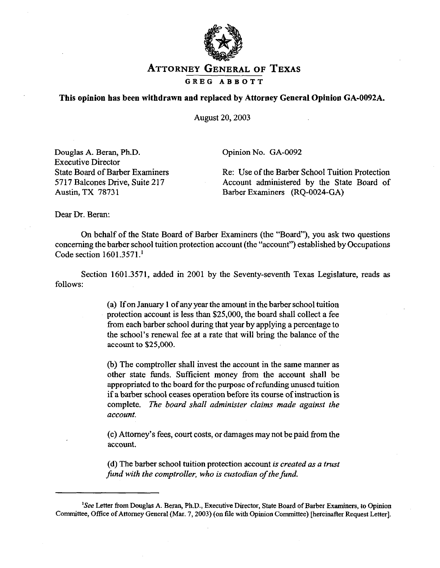

## **ATTORNEY GENERAL** OF **TEXAS**  GREG ABBOTT

## **This opinion has been withdrawn and replaced by Attorney General Opinion GA-0092A.**

August 20,2003

Douglas A. Beran, Ph.D. Executive Director State Board of Barber Examiners 5717 Balcones Drive, Suite 217 Austin, TX 78731

Opinion No. GA-0092

Re: Use of the Barber School Tuition Protection Account administered by the State Board of Barber Examiners (RQ-0024-GA)

Dear Dr. Beran:

On behalf of the State Board of Barber Examiners (the "Board"), you ask two questions concerning tbe barber school tuition protection account (the "account") established by Occupations Code section 1601.3571.'

Section 1601.3571, added in 2001 by the Seventy-seventh Texas Legislature, reads as follows:

> (a) If on January 1 of any year the amount in the barber school tuition protection account is less than \$25,000, the board shall collect a fee from each barber school during that year by applying a percentage to the school's renewal fee at a rate that will bring the balance of the account to \$25,000.

> (b) The comptroller shall invest the account in the same manner as other state funds. Sufftcient money from the account shall be appropriated to the board for the purpose of refunding unused tuition if a barber school ceases operation before its course of instruction is complete. *The board shall administer claims made against the account.*

> (c) Attorney's fees, court costs, or damages may not be paid from the account.

> (d) The barber school tuition protection account *is created as a trust fund with the comptroller, who is custodian of the fund.*

<sup>&#</sup>x27;See Letter from Douglas A. Beran, Ph.D., Executive Director, State Board of Barber Examiners, to Opinion Committee, Office of Attorney General (Mar. 7,2003) (on file with Opinion Committee) [hereinafter Request Letter].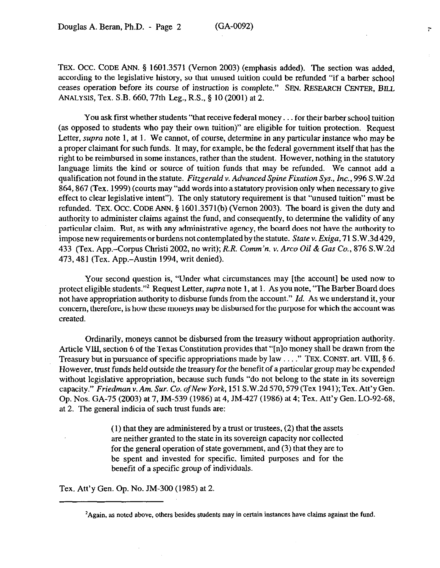TEX. OCC. CODE ANN. 5 1601.3571 (Vernon 2003) (emphasis added). The section was added, according to the legislative history, so that unused tuition could be refunded "if a barber school ceases operation before its course of instruction is complete." SEN. RESEARCH CENTER, BILL ANALYSIS, Tex. S.B. 660,77th Leg., R.S., 5 IO (2001) at 2.

You ask first whether students "that receive federal money. . . for their barber school tuition (as opposed to students who pay their own tuition)" are eligible for tuition protection. Request Letter, *supra* note 1, at 1. We cannot, of course, determine in any particular instance who may be a proper claimant for such funds. It may, for example, be the federal government itself that has the right to be reimbursed in some instances, rather than the student. However, nothing in the statutory language limits the kind or source of tuition funds that may be refunded. We cannot add a qualification not found in the statute. *Fitzgerald v. Advanced Spine Fixation Sys., Inc., 996* S.W.2d 864,867 (Tex. 1999) (courts may "add words into a statutory provision only when necessary,to give effect to clear legislative intent"). Tbe only statutory requirement is that "unused tuition" must be refunded. TEX. OCC. CODE ANN.  $\S$  1601.3571(b) (Vernon 2003). The board is given the duty and authority to administer claims against the fund, and consequently, to determine the validity of any particular claim. But, as with any administrative agency, the board does not have the authority to impose new requirements or burdens not contemplated by the statute. *State v. Exiga,* 71 S.W.3d429, 433 (Tex. App.-Corpus Christi 2002, no writ); *R.R. Comm'n. v. Arco Oil &Gas Co., 876* S.W.2d 473,481 (Tex. App.-Austin 1994, writ denied).

Your second question is, "Under what circumstances may [the account] be used now to protect eligible students."<sup>2</sup> Request Letter, *supra* note 1, at 1. As you note, "The Barber Board does not have appropriation authority to disburse funds from the account." *Id.* As we understand it, your concern, therefore, is how these moneys may bc disbursed for the purpose for which the account was created.

Ordinarily, moneys cannot be disbursed from the treasury without appropriation authority. Article VlIl, section 6 of the Texas Constitution provides that "[n]o money shall be drawn from the Treasury but in pursuance of specific appropriations made by law ...." TEX. CONST. art. VIII,  $\S$  6. However, trust funds held outside the treasury for the benefit of a particular group may be expended without legislative appropriation, because such funds "do not belong to the state in its sovereign capacity." *Friedman v. Am. Sur. Co. of New York*, 151 S.W.2d 570, 579 (Tex 1941); Tex. Att'y Gen. Op. Nos. GA-7~5 (2003) at 7, JM-539 (1986) at 4, JM-427 (1986) at 4; Tex. Att'y Gen. LO-92-68, at 2. The general indicia of such trust funds are:

> (1) that they are administered by a trust or trustees, (2) that the assets are neither granted to the state in its sovereign capacity nor collected for the general operation of state government, and (3) that they are to be spent and invested for specific, limited purposes and for the benefit of a specific group of individuals.

Tex. Att'y Gen. Op. No. JM-300 (1985) at 2.

<sup>&#</sup>x27;Again, as noted above, others besides students may in certain instances have claims against the fund.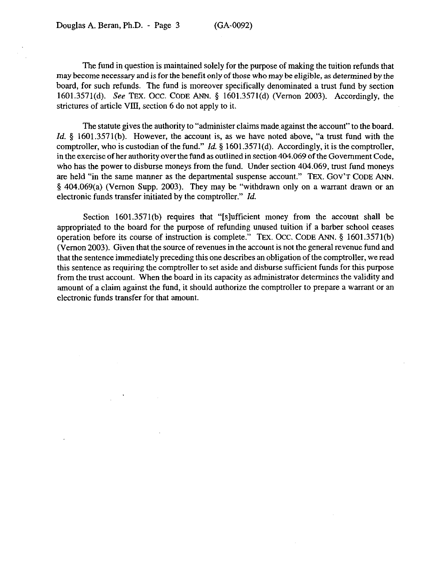The fund in question is maintained solely for the purpose of making the tuition refunds that may become necessary and is for the benefit only of those who may be eligible, as determined by the board, for such refunds. The fund is moreover specifically denominated a trust fund by section 1601.3571(d). See **TEX. OCC. CODE** ANN. 5 1601,3571(d) (Vernon 2003). Accordingly, the strictures of article VIlI, section 6 do not apply to it.

The statute gives the authority to "administer claims made against the account" to the board. *Id.* § 1601.3571(b). However, the account is, as we have noted above, "a trust fund with the comptroller, who is custodian of the fund." *Id.* 5 1601.357 l(d). Accordingly, it is the comptroller, in the exercise of her authority over the fund as outlined in section 404.069 of the Government Code, who has the power to disburse moneys from the fund. Under section 404.069, trust fund moneys are held "in the same manner as the departmental suspense account." **TEX. GOV'T CODE ANN.**  5 404.069(a) (Vernon Supp. 2003). They may be "withdrawn only on a warrant drawn or an electronic funds transfer initiated by the comptroller." *Id.* 

Section 1601.3571(b) requires that "[slufficient money from the account shall be appropriated to the board for the purpose of refunding unused tuition if a barber school ceases operation before its course of instruction is complete." TEX. Occ. CODE ANN. § 1601.3571(b) (Vernon 2003). Given that the source of revenues in the account is not the general revenue fund and that the sentence immediately preceding this one describes an obligation of the comptroller, we read this sentence as requiring the comptroller to set aside and disburse sufficient funds for this purpose from the trust account. When the board in its capacity as administrator determines the validity and amount of a claim against the fund, it should authorize the comptroller to prepare a warrant or an electronic funds transfer for that amount.